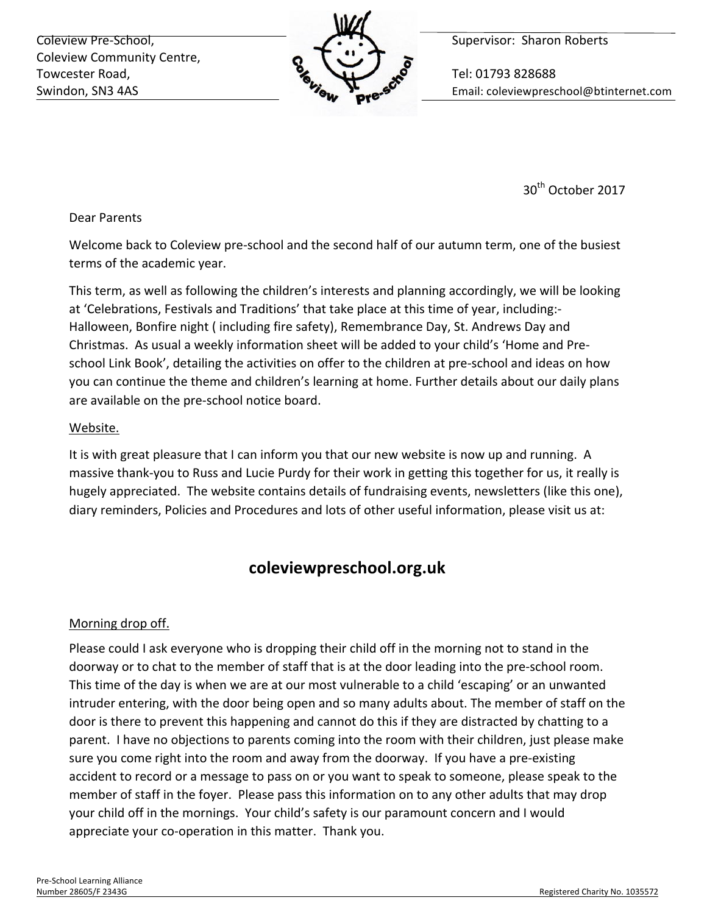Coleview Pre-School, **Supervisor:** Sharon Roberts Coleview Community Centre, Towcester Road,  $\sim$  Tel: 01793 828688



Swindon, SN3 4AS **Email:** Coleviewpreschool@btinternet.com

30<sup>th</sup> October 2017

#### Dear Parents

Welcome back to Coleview pre-school and the second half of our autumn term, one of the busiest terms of the academic year.

This term, as well as following the children's interests and planning accordingly, we will be looking at 'Celebrations, Festivals and Traditions' that take place at this time of year, including:-Halloween, Bonfire night (including fire safety), Remembrance Day, St. Andrews Day and Christmas. As usual a weekly information sheet will be added to your child's 'Home and Preschool Link Book', detailing the activities on offer to the children at pre-school and ideas on how you can continue the theme and children's learning at home. Further details about our daily plans are available on the pre-school notice board.

### Website.

It is with great pleasure that I can inform you that our new website is now up and running. A massive thank-you to Russ and Lucie Purdy for their work in getting this together for us, it really is hugely appreciated. The website contains details of fundraising events, newsletters (like this one), diary reminders, Policies and Procedures and lots of other useful information, please visit us at:

# **coleviewpreschool.org.uk**

### Morning drop off.

Please could I ask everyone who is dropping their child off in the morning not to stand in the doorway or to chat to the member of staff that is at the door leading into the pre-school room. This time of the day is when we are at our most vulnerable to a child 'escaping' or an unwanted intruder entering, with the door being open and so many adults about. The member of staff on the door is there to prevent this happening and cannot do this if they are distracted by chatting to a parent. I have no objections to parents coming into the room with their children, just please make sure you come right into the room and away from the doorway. If you have a pre-existing accident to record or a message to pass on or you want to speak to someone, please speak to the member of staff in the foyer. Please pass this information on to any other adults that may drop your child off in the mornings. Your child's safety is our paramount concern and I would appreciate your co-operation in this matter. Thank you.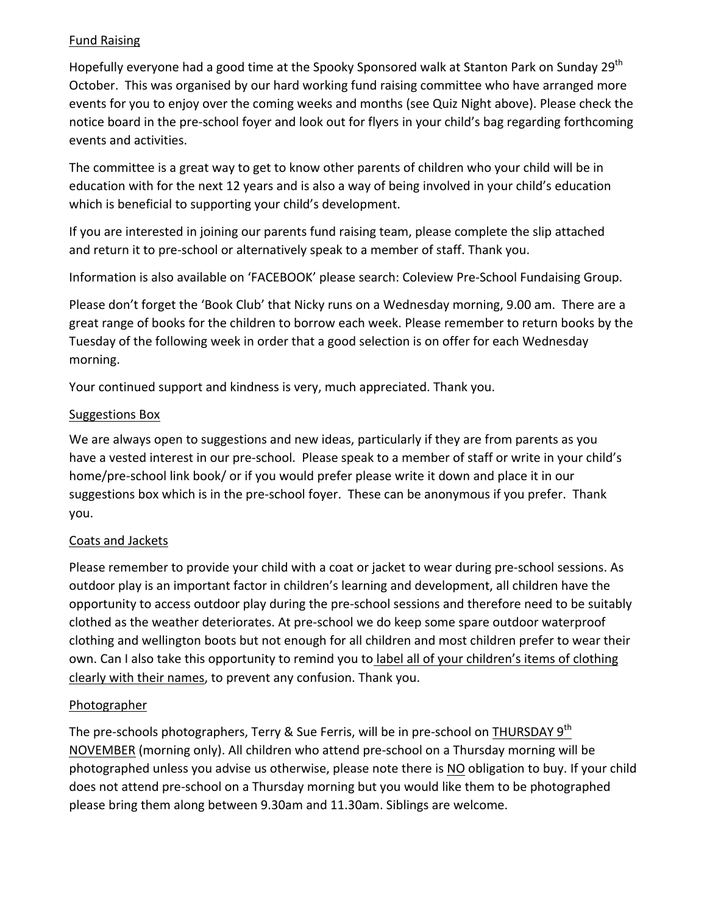## **Fund Raising**

Hopefully everyone had a good time at the Spooky Sponsored walk at Stanton Park on Sunday 29<sup>th</sup> October. This was organised by our hard working fund raising committee who have arranged more events for you to enjoy over the coming weeks and months (see Quiz Night above). Please check the notice board in the pre-school foyer and look out for flyers in your child's bag regarding forthcoming events and activities.

The committee is a great way to get to know other parents of children who your child will be in education with for the next 12 years and is also a way of being involved in your child's education which is beneficial to supporting your child's development.

If you are interested in joining our parents fund raising team, please complete the slip attached and return it to pre-school or alternatively speak to a member of staff. Thank you.

Information is also available on 'FACEBOOK' please search: Coleview Pre-School Fundaising Group.

Please don't forget the 'Book Club' that Nicky runs on a Wednesday morning, 9.00 am. There are a great range of books for the children to borrow each week. Please remember to return books by the Tuesday of the following week in order that a good selection is on offer for each Wednesday morning. 

Your continued support and kindness is very, much appreciated. Thank you.

### Suggestions Box

We are always open to suggestions and new ideas, particularly if they are from parents as you have a vested interest in our pre-school. Please speak to a member of staff or write in your child's home/pre-school link book/ or if you would prefer please write it down and place it in our suggestions box which is in the pre-school foyer. These can be anonymous if you prefer. Thank you. 

### Coats and Jackets

Please remember to provide your child with a coat or jacket to wear during pre-school sessions. As outdoor play is an important factor in children's learning and development, all children have the opportunity to access outdoor play during the pre-school sessions and therefore need to be suitably clothed as the weather deteriorates. At pre-school we do keep some spare outdoor waterproof clothing and wellington boots but not enough for all children and most children prefer to wear their own. Can I also take this opportunity to remind you to label all of your children's items of clothing clearly with their names, to prevent any confusion. Thank you.

### **Photographer**

The pre-schools photographers, Terry & Sue Ferris, will be in pre-school on THURSDAY  $9<sup>th</sup>$ NOVEMBER (morning only). All children who attend pre-school on a Thursday morning will be photographed unless you advise us otherwise, please note there is NO obligation to buy. If your child does not attend pre-school on a Thursday morning but you would like them to be photographed please bring them along between 9.30am and 11.30am. Siblings are welcome.